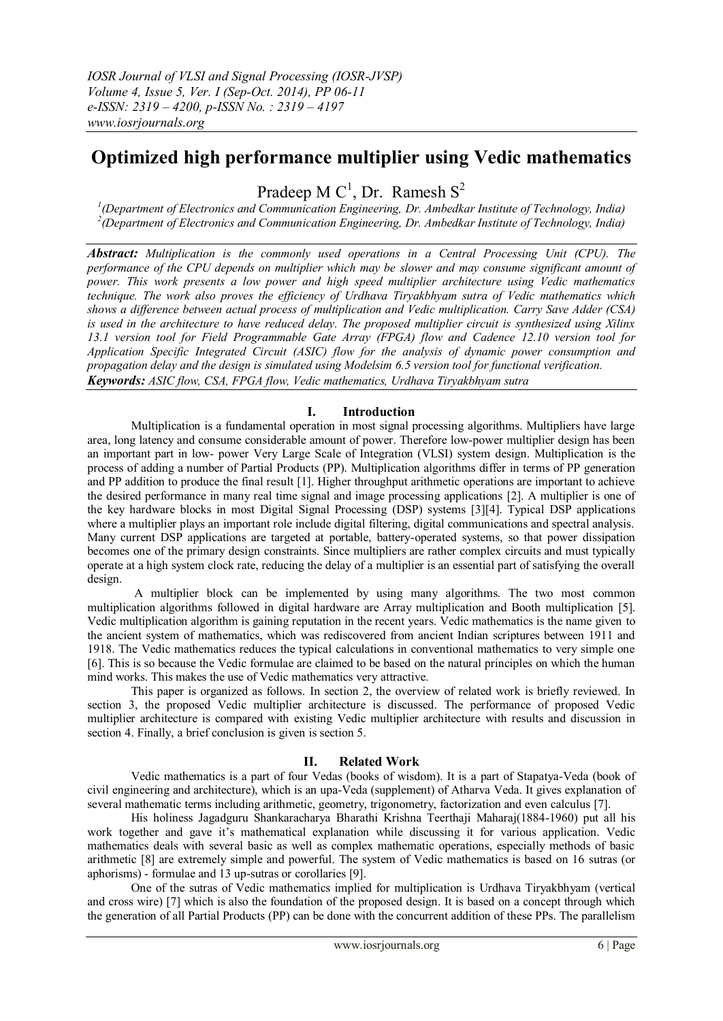# **Optimized high performance multiplier using Vedic mathematics**

Pradeep M  $C^1$ , Dr. Ramesh  $S^2$ 

*1 (Department of Electronics and Communication Engineering, Dr. Ambedkar Institute of Technology, India) 2 (Department of Electronics and Communication Engineering, Dr. Ambedkar Institute of Technology, India)*

*Abstract: Multiplication is the commonly used operations in a Central Processing Unit (CPU). The performance of the CPU depends on multiplier which may be slower and may consume significant amount of power. This work presents a low power and high speed multiplier architecture using Vedic mathematics technique. The work also proves the efficiency of Urdhava Tiryakbhyam sutra of Vedic mathematics which shows a difference between actual process of multiplication and Vedic multiplication. Carry Save Adder (CSA) is used in the architecture to have reduced delay. The proposed multiplier circuit is synthesized using Xilinx 13.1 version tool for Field Programmable Gate Array (FPGA) flow and Cadence 12.10 version tool for Application Specific Integrated Circuit (ASIC) flow for the analysis of dynamic power consumption and propagation delay and the design is simulated using Modelsim 6.5 version tool for functional verification. Keywords: ASIC flow, CSA, FPGA flow, Vedic mathematics, Urdhava Tiryakbhyam sutra*

## **I. Introduction**

Multiplication is a fundamental operation in most signal processing algorithms. Multipliers have large area, long latency and consume considerable amount of power. Therefore low-power multiplier design has been an important part in low- power Very Large Scale of Integration (VLSI) system design. Multiplication is the process of adding a number of Partial Products (PP). Multiplication algorithms differ in terms of PP generation and PP addition to produce the final result [1]. Higher throughput arithmetic operations are important to achieve the desired performance in many real time signal and image processing applications [2]. A multiplier is one of the key hardware blocks in most Digital Signal Processing (DSP) systems [3][4]. Typical DSP applications where a multiplier plays an important role include digital filtering, digital communications and spectral analysis. Many current DSP applications are targeted at portable, battery-operated systems, so that power dissipation becomes one of the primary design constraints. Since multipliers are rather complex circuits and must typically operate at a high system clock rate, reducing the delay of a multiplier is an essential part of satisfying the overall design.

A multiplier block can be implemented by using many algorithms. The two most common multiplication algorithms followed in digital hardware are Array multiplication and Booth multiplication [5]. Vedic multiplication algorithm is gaining reputation in the recent years. Vedic mathematics is the name given to the ancient system of mathematics, which was rediscovered from ancient Indian scriptures between 1911 and 1918. The Vedic mathematics reduces the typical calculations in conventional mathematics to very simple one [6]. This is so because the Vedic formulae are claimed to be based on the natural principles on which the human mind works. This makes the use of Vedic mathematics very attractive.

This paper is organized as follows. In section 2, the overview of related work is briefly reviewed. In section 3, the proposed Vedic multiplier architecture is discussed. The performance of proposed Vedic multiplier architecture is compared with existing Vedic multiplier architecture with results and discussion in section 4. Finally, a brief conclusion is given is section 5.

## **II. Related Work**

Vedic mathematics is a part of four Vedas (books of wisdom). It is a part of Stapatya-Veda (book of civil engineering and architecture), which is an upa-Veda (supplement) of Atharva Veda. It gives explanation of several mathematic terms including arithmetic, geometry, trigonometry, factorization and even calculus [7].

His holiness Jagadguru Shankaracharya Bharathi Krishna Teerthaji Maharaj(1884-1960) put all his work together and gave it's mathematical explanation while discussing it for various application. Vedic mathematics deals with several basic as well as complex mathematic operations, especially methods of basic arithmetic [8] are extremely simple and powerful. The system of Vedic mathematics is based on 16 sutras (or aphorisms) - formulae and 13 up-sutras or corollaries [9].

One of the sutras of Vedic mathematics implied for multiplication is Urdhava Tiryakbhyam (vertical and cross wire) [7] which is also the foundation of the proposed design. It is based on a concept through which the generation of all Partial Products (PP) can be done with the concurrent addition of these PPs. The parallelism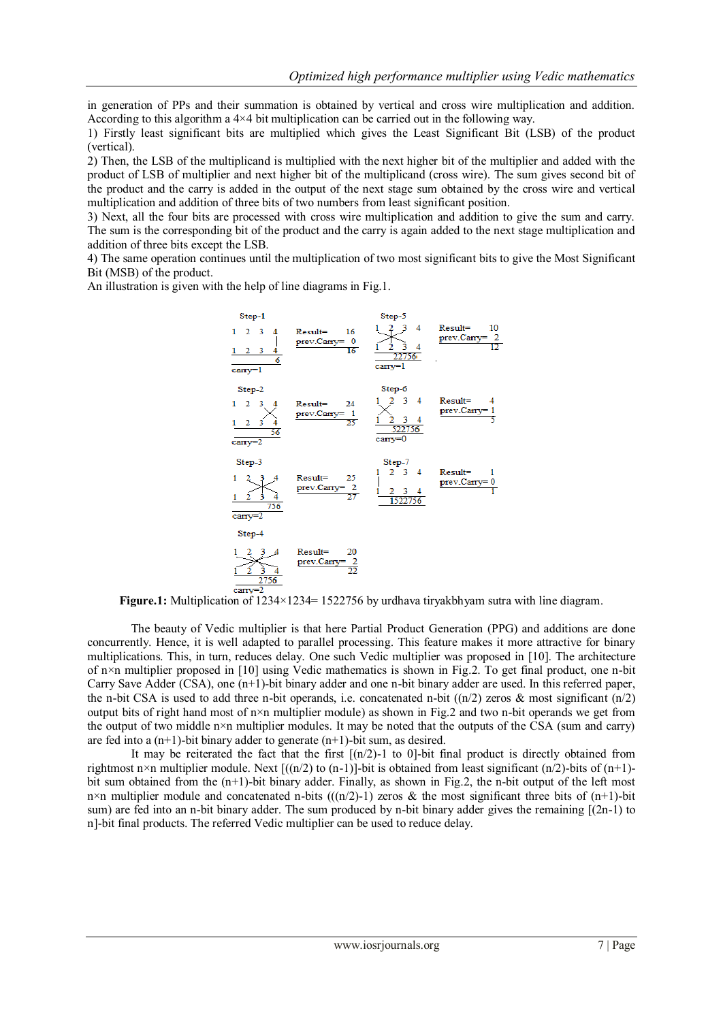in generation of PPs and their summation is obtained by vertical and cross wire multiplication and addition. According to this algorithm a 4×4 bit multiplication can be carried out in the following way.

1) Firstly least significant bits are multiplied which gives the Least Significant Bit (LSB) of the product (vertical).

2) Then, the LSB of the multiplicand is multiplied with the next higher bit of the multiplier and added with the product of LSB of multiplier and next higher bit of the multiplicand (cross wire). The sum gives second bit of the product and the carry is added in the output of the next stage sum obtained by the cross wire and vertical multiplication and addition of three bits of two numbers from least significant position.

3) Next, all the four bits are processed with cross wire multiplication and addition to give the sum and carry. The sum is the corresponding bit of the product and the carry is again added to the next stage multiplication and addition of three bits except the LSB.

4) The same operation continues until the multiplication of two most significant bits to give the Most Significant Bit (MSB) of the product.

An illustration is given with the help of line diagrams in Fig.1.



**Figure.1:** Multiplication of 1234×1234= 1522756 by urdhava tiryakbhyam sutra with line diagram.

The beauty of Vedic multiplier is that here Partial Product Generation (PPG) and additions are done concurrently. Hence, it is well adapted to parallel processing. This feature makes it more attractive for binary multiplications. This, in turn, reduces delay. One such Vedic multiplier was proposed in [10]. The architecture of n×n multiplier proposed in [10] using Vedic mathematics is shown in Fig.2. To get final product, one n-bit Carry Save Adder (CSA), one (n+1)-bit binary adder and one n-bit binary adder are used. In this referred paper, the n-bit CSA is used to add three n-bit operands, i.e. concatenated n-bit  $((n/2)$  zeros & most significant  $(n/2)$ output bits of right hand most of  $n \times n$  multiplier module) as shown in Fig.2 and two n-bit operands we get from the output of two middle  $n \times n$  multiplier modules. It may be noted that the outputs of the CSA (sum and carry) are fed into a  $(n+1)$ -bit binary adder to generate  $(n+1)$ -bit sum, as desired.

It may be reiterated the fact that the first  $[(n/2)-1]$  to 0-bit final product is directly obtained from rightmost n×n multiplier module. Next  $[(n/2)$  to  $(n-1)]$ -bit is obtained from least significant  $(n/2)$ -bits of  $(n+1)$ bit sum obtained from the (n+1)-bit binary adder. Finally, as shown in Fig.2, the n-bit output of the left most n×n multiplier module and concatenated n-bits  $(((n/2)-1)$  zeros & the most significant three bits of  $(n+1)$ -bit sum) are fed into an n-bit binary adder. The sum produced by n-bit binary adder gives the remaining [(2n-1) to n]-bit final products. The referred Vedic multiplier can be used to reduce delay.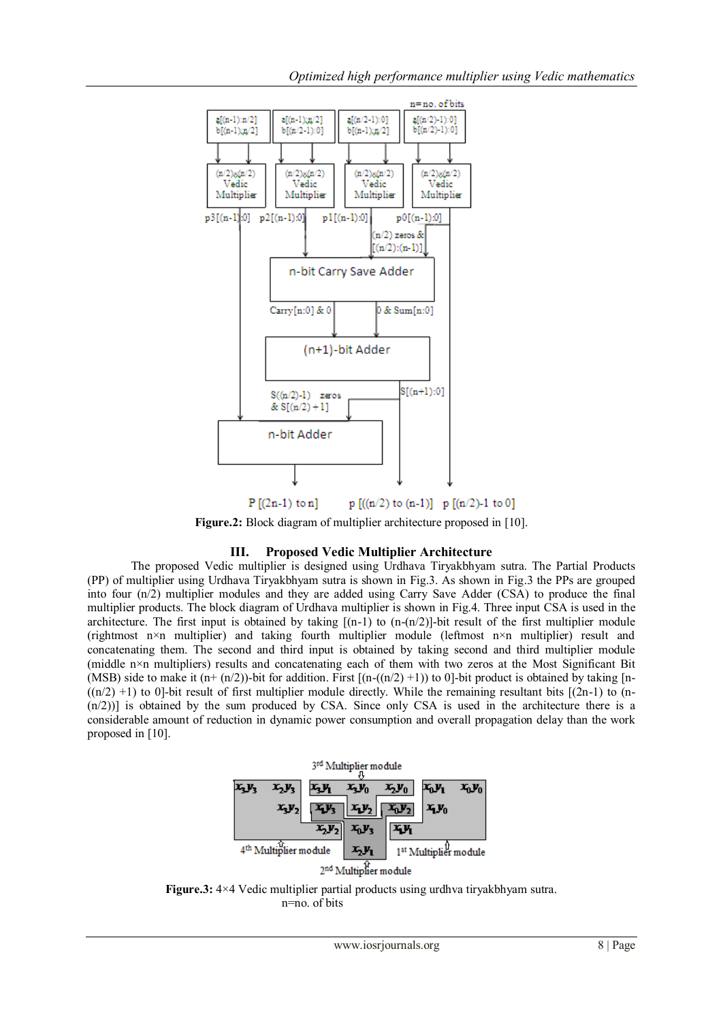

**Figure.2:** Block diagram of multiplier architecture proposed in [10].

# **III. Proposed Vedic Multiplier Architecture**

The proposed Vedic multiplier is designed using Urdhava Tiryakbhyam sutra. The Partial Products (PP) of multiplier using Urdhava Tiryakbhyam sutra is shown in Fig.3. As shown in Fig.3 the PPs are grouped into four (n/2) multiplier modules and they are added using Carry Save Adder (CSA) to produce the final multiplier products. The block diagram of Urdhava multiplier is shown in Fig.4. Three input CSA is used in the architecture. The first input is obtained by taking  $[(n-1)$  to  $(n-(n/2)]$ -bit result of the first multiplier module (rightmost n×n multiplier) and taking fourth multiplier module (leftmost n×n multiplier) result and concatenating them. The second and third input is obtained by taking second and third multiplier module (middle n×n multipliers) results and concatenating each of them with two zeros at the Most Significant Bit (MSB) side to make it  $(n+(n/2))$ -bit for addition. First  $[(n-(n/2)+1))$  to 0]-bit product is obtained by taking [n- $((n/2) +1)$  to 0]-bit result of first multiplier module directly. While the remaining resultant bits  $[(2n-1)$  to (n-(n/2))] is obtained by the sum produced by CSA. Since only CSA is used in the architecture there is a considerable amount of reduction in dynamic power consumption and overall propagation delay than the work proposed in [10].

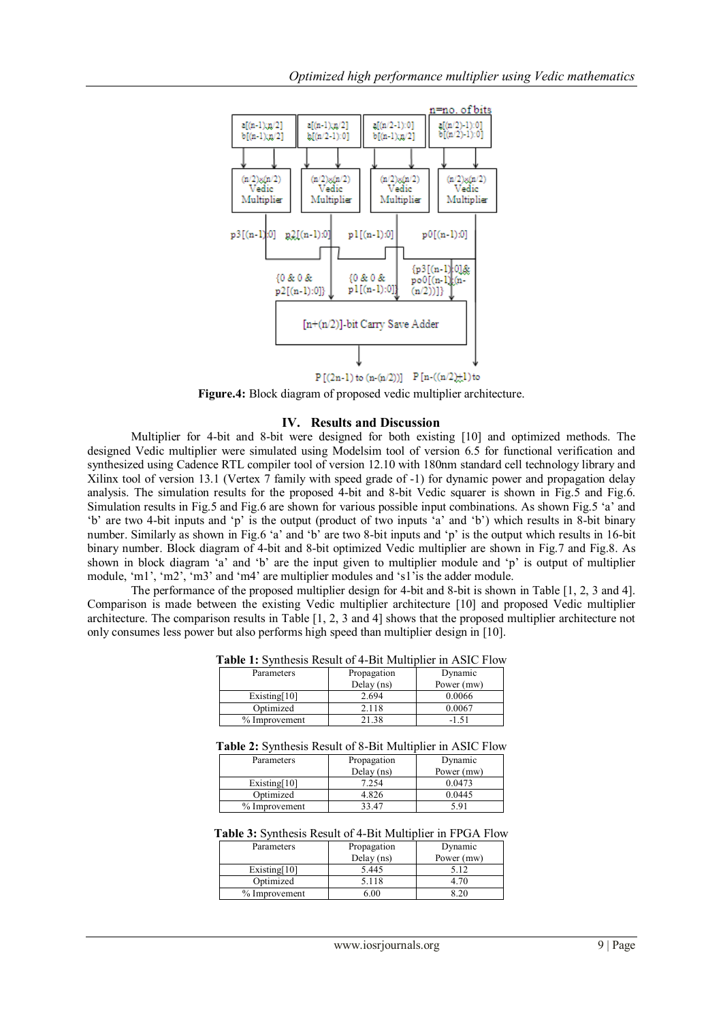

 $P[(2n-1) to (n-(n/2))]$   $P[n-((n/2),1) to$ 

**Figure.4:** Block diagram of proposed vedic multiplier architecture.

#### **IV. Results and Discussion**

Multiplier for 4-bit and 8-bit were designed for both existing [10] and optimized methods. The designed Vedic multiplier were simulated using Modelsim tool of version 6.5 for functional verification and synthesized using Cadence RTL compiler tool of version 12.10 with 180nm standard cell technology library and Xilinx tool of version 13.1 (Vertex 7 family with speed grade of -1) for dynamic power and propagation delay analysis. The simulation results for the proposed 4-bit and 8-bit Vedic squarer is shown in Fig.5 and Fig.6. Simulation results in Fig.5 and Fig.6 are shown for various possible input combinations. As shown Fig.5 'a' and 'b' are two 4-bit inputs and 'p' is the output (product of two inputs 'a' and 'b') which results in 8-bit binary number. Similarly as shown in Fig.6 'a' and 'b' are two 8-bit inputs and 'p' is the output which results in 16-bit binary number. Block diagram of 4-bit and 8-bit optimized Vedic multiplier are shown in Fig.7 and Fig.8. As shown in block diagram 'a' and 'b' are the input given to multiplier module and 'p' is output of multiplier module, 'm1', 'm2', 'm3' and 'm4' are multiplier modules and 's1'is the adder module.

The performance of the proposed multiplier design for 4-bit and 8-bit is shown in Table [1, 2, 3 and 4]. Comparison is made between the existing Vedic multiplier architecture [10] and proposed Vedic multiplier architecture. The comparison results in Table [1, 2, 3 and 4] shows that the proposed multiplier architecture not only consumes less power but also performs high speed than multiplier design in [10].

| Table 1: Synthesis Result of 4-Bit Multiplier in ASIC Flow |  |  |  |
|------------------------------------------------------------|--|--|--|
|------------------------------------------------------------|--|--|--|

| Parameters      | Propagation  | Dynamic    |
|-----------------|--------------|------------|
|                 | Delay $(ns)$ | Power (mw) |
| Existing $[10]$ | 2.694        | 0.0066     |
| Optimized       | 2.118        | 0.0067     |
| % Improvement   | 21.38        | -1.51      |

| Table 2: Synthesis Result of 8-Bit Multiplier in ASIC Flow |  |
|------------------------------------------------------------|--|
|------------------------------------------------------------|--|

| Parameters      | Propagation  | Dynamic    |
|-----------------|--------------|------------|
|                 | Delay $(ns)$ | Power (mw) |
| Existing $[10]$ | 7.254        | 0.0473     |
| Optimized       | 4.826        | 0.0445     |
| % Improvement   | 33 47        | 591        |

**Table 3:** Synthesis Result of 4-Bit Multiplier in FPGA Flow

| Parameters      | Propagation  | Dynamic    |
|-----------------|--------------|------------|
|                 | Delay $(ns)$ | Power (mw) |
| Existing $[10]$ | 5.445        | 5.12       |
| Optimized       | 5.118        |            |
| % Improvement   | 0.00         |            |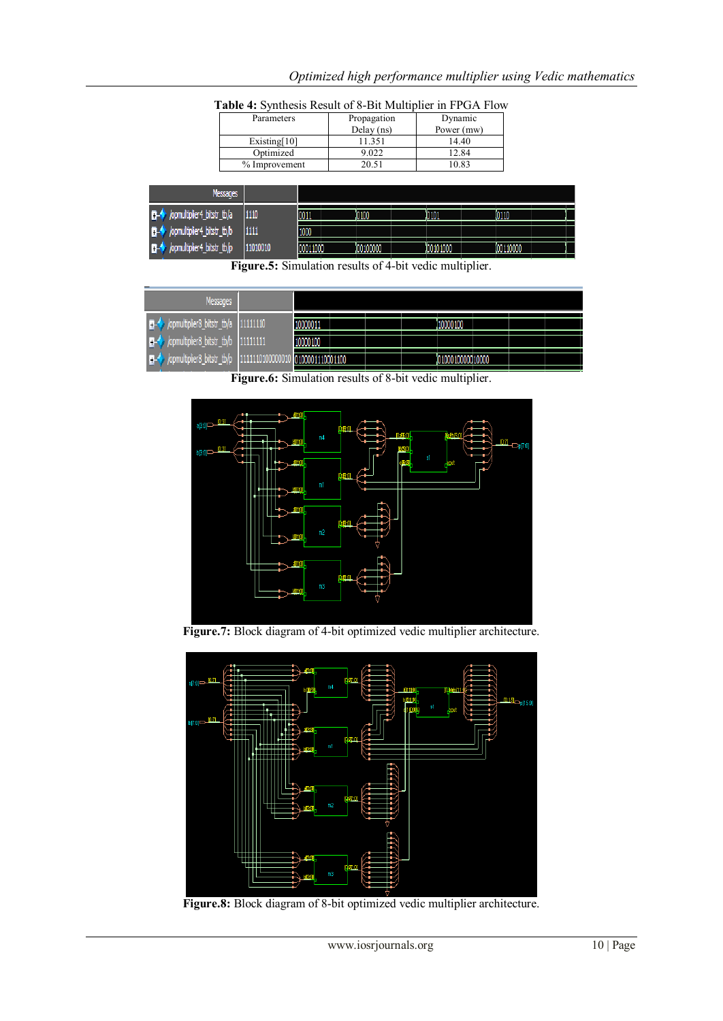| Parameters      | Propagation  | Dynamic    |
|-----------------|--------------|------------|
|                 | Delay $(ns)$ | Power (mw) |
| Existing $[10]$ | 11.351       | 14.40      |
| Optimized       | 9.022        | 12.84      |
| % Improvement   | 20.51        | 10.83      |

*Optimized high performance multiplier using Vedic mathematics*

| <b>Messages</b>                                   |          |              |            |          |           |
|---------------------------------------------------|----------|--------------|------------|----------|-----------|
| $\Box \leftrightarrow$ /opmultiplier4_bitstr_tb/a | 1110     | <b>HOO1.</b> | 10100      | 10101    | 10110     |
| ■→ /opmultiplier4_bitstr_tb/b                     | 1111     | 1000         |            |          |           |
| D- / /opmultiplier4_bitstr_tb/p                   | 11010010 | 00011000     | 100 100000 | 00101000 | 100110000 |

**Table 4:** Synthesis Result of 8-Bit Multiplier in FPGA Flow

**Figure.5:** Simulation results of 4-bit vedic multiplier.

| Messages                                                                                                                                                                                                                       |          |                  |  |                   |  |  |
|--------------------------------------------------------------------------------------------------------------------------------------------------------------------------------------------------------------------------------|----------|------------------|--|-------------------|--|--|
| proposed to the pitch of the set of the set of the set of the set of the set of the set of the set of the set of the set of the set of the set of the set of the set of the set of the set of the set of the set of the set of |          | 10000011         |  | 110000100         |  |  |
| $\Box \rightarrow \Diamond$ /opmultiplier8_bitstr_tb/b 111111111                                                                                                                                                               |          | 10000100         |  |                   |  |  |
| p- /ppmultiplier8_bitstr_tb/p                                                                                                                                                                                                  | 11010000 | 0100001110001100 |  | 10100010000010000 |  |  |

**Figure.6:** Simulation results of 8-bit vedic multiplier.



**Figure.7:** Block diagram of 4-bit optimized vedic multiplier architecture.



**Figure.8:** Block diagram of 8-bit optimized vedic multiplier architecture.